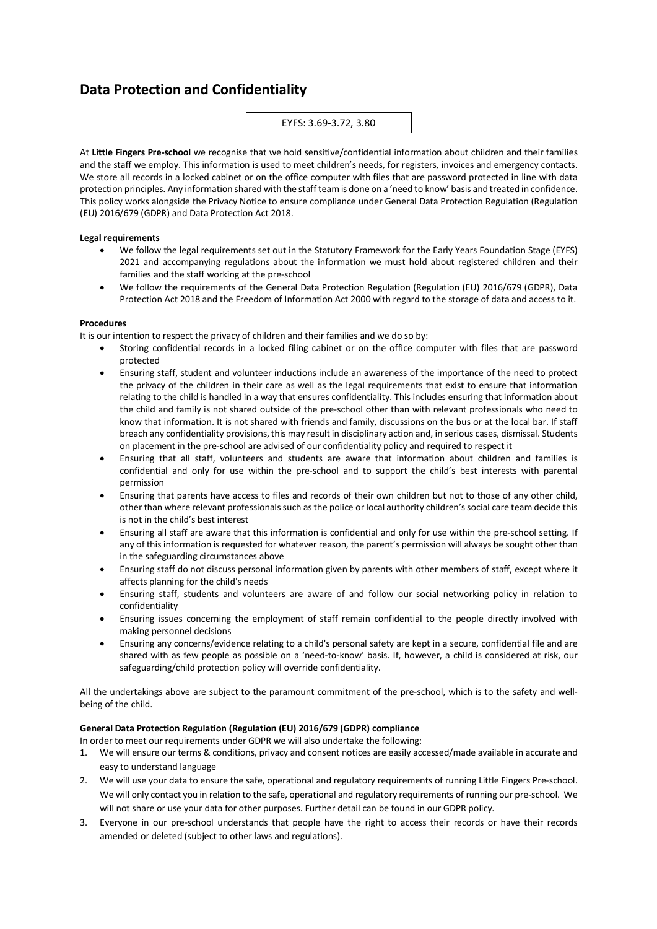# **Data Protection and Confidentiality**

### EYFS: 3.69-3.72, 3.80

At **Little Fingers Pre-school** we recognise that we hold sensitive/confidential information about children and their families and the staff we employ. This information is used to meet children's needs, for registers, invoices and emergency contacts. We store all records in a locked cabinet or on the office computer with files that are password protected in line with data protection principles. Any information shared with the staff team is done on a 'need to know' basis and treated in confidence. This policy works alongside the Privacy Notice to ensure compliance under General Data Protection Regulation (Regulation (EU) 2016/679 (GDPR) and Data Protection Act 2018.

#### **Legal requirements**

- We follow the legal requirements set out in the Statutory Framework for the Early Years Foundation Stage (EYFS) 2021 and accompanying regulations about the information we must hold about registered children and their families and the staff working at the pre-school
- We follow the requirements of the General Data Protection Regulation (Regulation (EU) 2016/679 (GDPR), Data Protection Act 2018 and the Freedom of Information Act 2000 with regard to the storage of data and access to it.

#### **Procedures**

It is our intention to respect the privacy of children and their families and we do so by:

- Storing confidential records in a locked filing cabinet or on the office computer with files that are password protected
- Ensuring staff, student and volunteer inductions include an awareness of the importance of the need to protect the privacy of the children in their care as well as the legal requirements that exist to ensure that information relating to the child is handled in a way that ensures confidentiality. This includes ensuring that information about the child and family is not shared outside of the pre-school other than with relevant professionals who need to know that information. It is not shared with friends and family, discussions on the bus or at the local bar. If staff breach any confidentiality provisions, this may result in disciplinary action and, in serious cases, dismissal. Students on placement in the pre-school are advised of our confidentiality policy and required to respect it
- Ensuring that all staff, volunteers and students are aware that information about children and families is confidential and only for use within the pre-school and to support the child's best interests with parental permission
- Ensuring that parents have access to files and records of their own children but not to those of any other child, other than where relevant professionals such as the police or local authority children's social care team decide this is not in the child's best interest
- Ensuring all staff are aware that this information is confidential and only for use within the pre-school setting. If any of this information is requested for whatever reason, the parent's permission will always be sought other than in the safeguarding circumstances above
- Ensuring staff do not discuss personal information given by parents with other members of staff, except where it affects planning for the child's needs
- Ensuring staff, students and volunteers are aware of and follow our social networking policy in relation to confidentiality
- Ensuring issues concerning the employment of staff remain confidential to the people directly involved with making personnel decisions
- Ensuring any concerns/evidence relating to a child's personal safety are kept in a secure, confidential file and are shared with as few people as possible on a 'need-to-know' basis. If, however, a child is considered at risk, our safeguarding/child protection policy will override confidentiality.

All the undertakings above are subject to the paramount commitment of the pre-school, which is to the safety and wellbeing of the child.

## **General Data Protection Regulation (Regulation (EU) 2016/679 (GDPR) compliance**

In order to meet our requirements under GDPR we will also undertake the following:

- 1. We will ensure our terms & conditions, privacy and consent notices are easily accessed/made available in accurate and easy to understand language
- 2. We will use your data to ensure the safe, operational and regulatory requirements of running Little Fingers Pre-school. We will only contact you in relation to the safe, operational and regulatory requirements of running our pre-school. We will not share or use your data for other purposes. Further detail can be found in our GDPR policy.
- 3. Everyone in our pre-school understands that people have the right to access their records or have their records amended or deleted (subject to other laws and regulations).